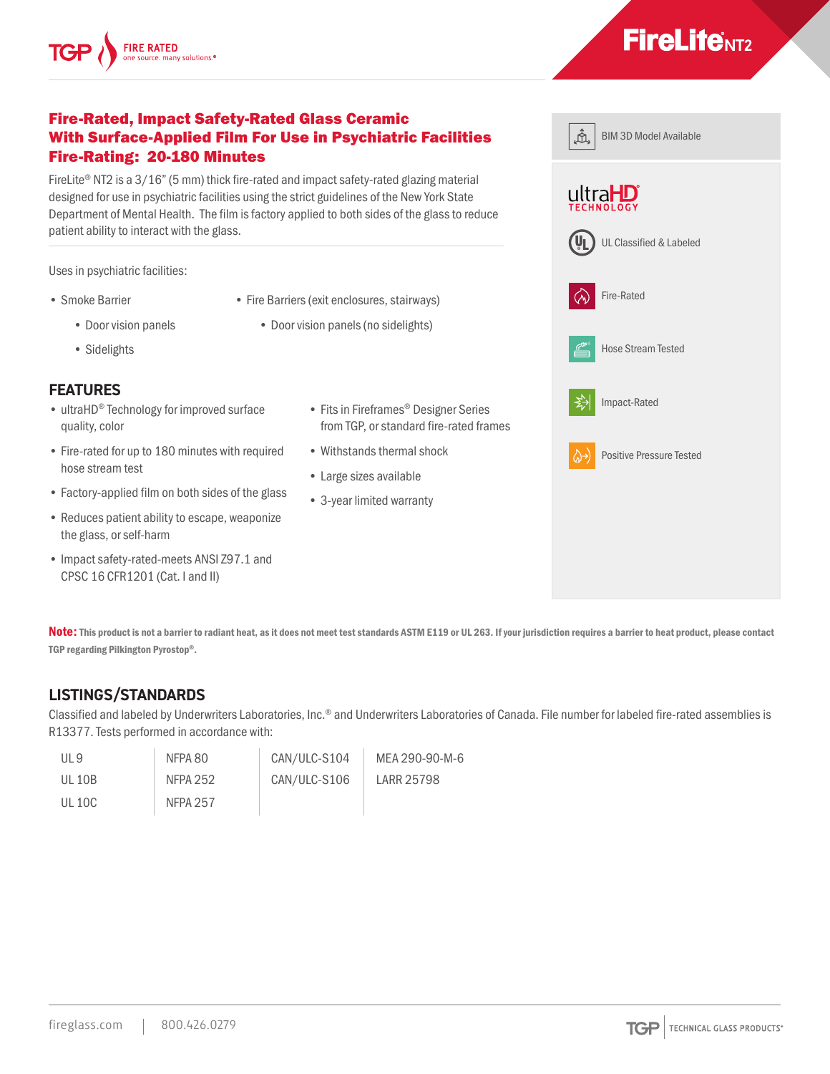#### Fire-Rated, Impact Safety-Rated Glass Ceramic With Surface-Applied Film For Use in Psychiatric Facilities Fire-Rating: 20-180 Minutes

FireLite® NT2 is a 3/16" (5 mm) thick fire-rated and impact safety-rated glazing material designed for use in psychiatric facilities using the strict guidelines of the New York State Department of Mental Health. The film is factory applied to both sides of the glass to reduce patient ability to interact with the glass.

Uses in psychiatric facilities:

- Smoke Barrier
	- Door vision panels
	- Sidelights

#### **FEATURES**

- ultraHD® Technology for improved surface quality, color
- Fire-rated for up to 180 minutes with required hose stream test
- Factory-applied film on both sides of the glass
- Reduces patient ability to escape, weaponize the glass, or self-harm
- Impact safety-rated-meets ANSI Z97.1 and CPSC 16 CFR1201 (Cat. I and II)

Note: This product is not a barrier to radiant heat, as it does not meet test standards ASTM E119 or UL 263. If your jurisdiction requires a barrier to heat product, please contact TGP regarding Pilkington Pyrostop®.

## **LISTINGS/STANDARDS**

Classified and labeled by Underwriters Laboratories, Inc.® and Underwriters Laboratories of Canada. File number for labeled fire-rated assemblies is R13377. Tests performed in accordance with:

| - IJI 9 | NFPA 80  | CAN/ULC-S104 | MEA 290-90-M-6 |
|---------|----------|--------------|----------------|
| UL 10B  | NFPA 252 | CAN/ULC-S106 | LARR 25798     |
| UL 10C  | NFPA 257 |              |                |

- Fits in Fireframes® Designer Series from TGP, or standard fire-rated frames
- Withstands thermal shock
- Large sizes available

• Fire Barriers (exit enclosures, stairways) • Door vision panels (no sidelights)

• 3-year limited warranty







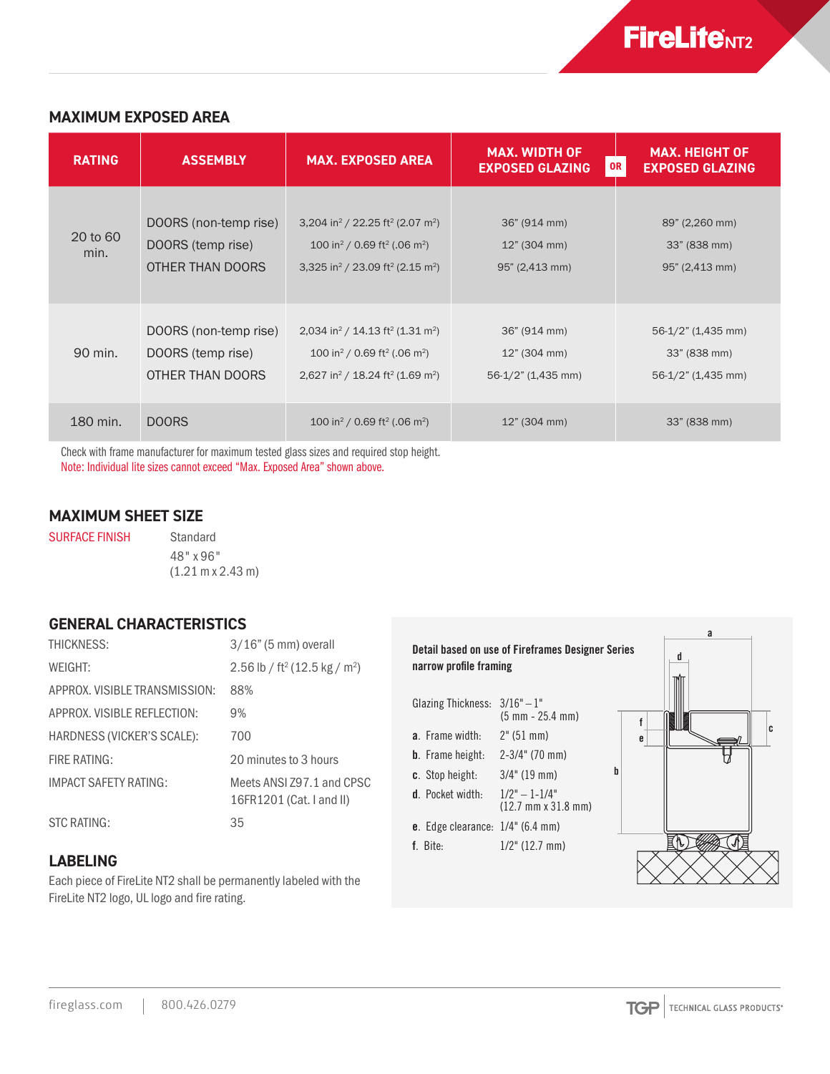### **MAXIMUM EXPOSED AREA**

| <b>RATING</b>    | <b>ASSEMBLY</b>                                                | <b>MAX. EXPOSED AREA</b>                                                                                                                                                                                         | <b>MAX. WIDTH OF</b><br><b>EXPOSED GLAZING</b>     | <b>MAX. HEIGHT OF</b><br>0R<br><b>EXPOSED GLAZING</b>       |
|------------------|----------------------------------------------------------------|------------------------------------------------------------------------------------------------------------------------------------------------------------------------------------------------------------------|----------------------------------------------------|-------------------------------------------------------------|
| 20 to 60<br>min. | DOORS (non-temp rise)<br>DOORS (temp rise)<br>OTHER THAN DOORS | 3,204 in <sup>2</sup> / 22.25 ft <sup>2</sup> (2.07 m <sup>2</sup> )<br>100 in <sup>2</sup> / 0.69 ft <sup>2</sup> (.06 m <sup>2</sup> )<br>3,325 in <sup>2</sup> / 23.09 ft <sup>2</sup> (2.15 m <sup>2</sup> ) | 36" (914 mm)<br>12" (304 mm)<br>95" (2,413 mm)     | 89" (2,260 mm)<br>33" (838 mm)<br>95" (2,413 mm)            |
| 90 min.          | DOORS (non-temp rise)<br>DOORS (temp rise)<br>OTHER THAN DOORS | 2,034 in <sup>2</sup> / 14.13 ft <sup>2</sup> (1.31 m <sup>2</sup> )<br>100 in <sup>2</sup> / 0.69 ft <sup>2</sup> (.06 m <sup>2</sup> )<br>2,627 in <sup>2</sup> / 18.24 ft <sup>2</sup> (1.69 m <sup>2</sup> ) | 36" (914 mm)<br>12" (304 mm)<br>56-1/2" (1,435 mm) | $56-1/2$ " (1,435 mm)<br>33" (838 mm)<br>56-1/2" (1,435 mm) |
| 180 min.         | <b>DOORS</b>                                                   | 100 in <sup>2</sup> / 0.69 ft <sup>2</sup> (.06 m <sup>2</sup> )                                                                                                                                                 | 12" (304 mm)                                       | 33" (838 mm)                                                |

Check with frame manufacturer for maximum tested glass sizes and required stop height. Note: Individual lite sizes cannot exceed "Max. Exposed Area" shown above.

## **MAXIMUM SHEET SIZE**

SURFACE FINISH Standard

48" x 96" (1.21 m x 2.43 m)

#### **GENERAL CHARACTERISTICS**

| THICKNESS:                     | $3/16$ " (5 mm) overall                               |
|--------------------------------|-------------------------------------------------------|
| WFIGHT:                        | 2.56 lb / ft <sup>2</sup> (12.5 kg / m <sup>2</sup> ) |
| APPROX, VISIBI F TRANSMISSION: | 88%                                                   |
| APPROX, VISIBLE REFLECTION:    | 9%                                                    |
| HARDNESS (VICKER'S SCALE):     | 700                                                   |
| FIRE RATING:                   | 20 minutes to 3 hours                                 |
| IMPACT SAFFTY RATING:          | Meets ANSI 797.1 and CPSC<br>16FR1201 (Cat. I and II) |
| STC RATING:                    | 35                                                    |

#### **LABELING**

Each piece of FireLite NT2 shall be permanently labeled with the FireLite NT2 logo, UL logo and fire rating.

# Detail based on use of Fireframes Designer Series narrow profile framing

- Glazing Thickness:  $3/16" 1"$ (5 mm - 25.4 mm)
- a. Frame width: 2" (51 mm)
- b. Frame height: 2-3/4" (70 mm)
- c. Stop height: 3/4" (19 mm)
- **d.** Pocket width:  $1/2" 1-1/4"$
- (12.7 mm x 31.8 mm)
- e. Edge clearance: 1/4" (6.4 mm)
- f. Bite: 1/2" (12.7 mm)